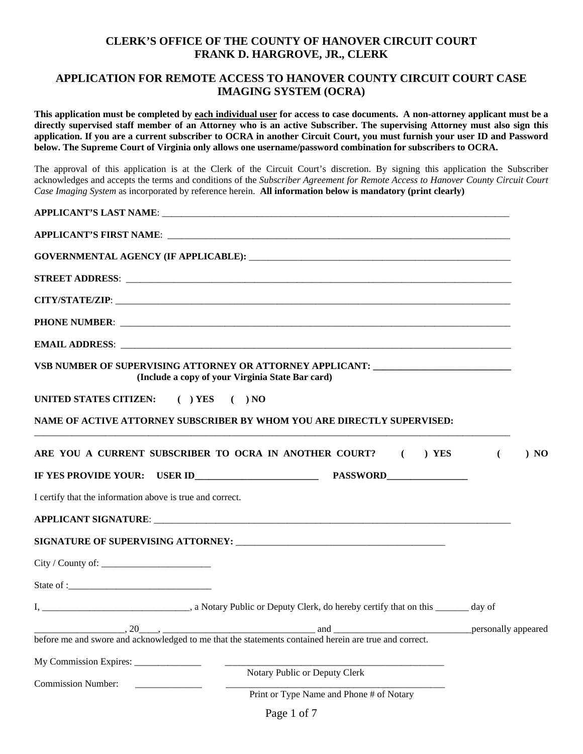#### **CLERK'S OFFICE OF THE COUNTY OF HANOVER CIRCUIT COURT FRANK D. HARGROVE, JR., CLERK**

#### **APPLICATION FOR REMOTE ACCESS TO HANOVER COUNTY CIRCUIT COURT CASE IMAGING SYSTEM (OCRA)**

**This application must be completed by each individual user for access to case documents. A non-attorney applicant must be a directly supervised staff member of an Attorney who is an active Subscriber. The supervising Attorney must also sign this application. If you are a current subscriber to OCRA in another Circuit Court, you must furnish your user ID and Password below. The Supreme Court of Virginia only allows one username/password combination for subscribers to OCRA.** 

The approval of this application is at the Clerk of the Circuit Court's discretion. By signing this application the Subscriber acknowledges and accepts the terms and conditions of the *Subscriber Agreement for Remote Access to Hanover County Circuit Court Case Imaging System* as incorporated by reference herein. **All information below is mandatory (print clearly)** 

|                                                           | GOVERNMENTAL AGENCY (IF APPLICABLE): NAMEL AND A SERIES AND A SERIES OF STATISTICS.                                                                                                                                                  |                              |
|-----------------------------------------------------------|--------------------------------------------------------------------------------------------------------------------------------------------------------------------------------------------------------------------------------------|------------------------------|
|                                                           |                                                                                                                                                                                                                                      |                              |
|                                                           |                                                                                                                                                                                                                                      |                              |
|                                                           |                                                                                                                                                                                                                                      |                              |
|                                                           |                                                                                                                                                                                                                                      |                              |
|                                                           | VSB NUMBER OF SUPERVISING ATTORNEY OR ATTORNEY APPLICANT: ______________________<br>(Include a copy of your Virginia State Bar card)                                                                                                 |                              |
| UNITED STATES CITIZEN: () YES () NO                       |                                                                                                                                                                                                                                      |                              |
|                                                           | NAME OF ACTIVE ATTORNEY SUBSCRIBER BY WHOM YOU ARE DIRECTLY SUPERVISED:                                                                                                                                                              |                              |
|                                                           | ARE YOU A CURRENT SUBSCRIBER TO OCRA IN ANOTHER COURT? ( ) YES                                                                                                                                                                       | $\overline{(\cdot)}$<br>) NO |
|                                                           |                                                                                                                                                                                                                                      |                              |
| I certify that the information above is true and correct. |                                                                                                                                                                                                                                      |                              |
|                                                           | APPLICANT SIGNATURE: New York State State State State State State State State State State State State State St                                                                                                                       |                              |
|                                                           |                                                                                                                                                                                                                                      |                              |
| City / County of:                                         |                                                                                                                                                                                                                                      |                              |
|                                                           |                                                                                                                                                                                                                                      |                              |
|                                                           |                                                                                                                                                                                                                                      |                              |
|                                                           | $\frac{1}{20}$ , $\frac{20}{20}$ , $\frac{1}{20}$ , $\frac{1}{20}$ , $\frac{1}{20}$ , $\frac{1}{20}$ , $\frac{1}{20}$ , $\frac{1}{20}$ , $\frac{1}{20}$ and $\frac{1}{20}$ and $\frac{1}{20}$ and $\frac{1}{20}$ personally appeared |                              |
|                                                           | before me and swore and acknowledged to me that the statements contained herein are true and correct.                                                                                                                                |                              |
| My Commission Expires: _______________                    |                                                                                                                                                                                                                                      |                              |
| <b>Commission Number:</b>                                 | Notary Public or Deputy Clerk                                                                                                                                                                                                        |                              |
|                                                           | Print or Type Name and Phone # of Notary                                                                                                                                                                                             |                              |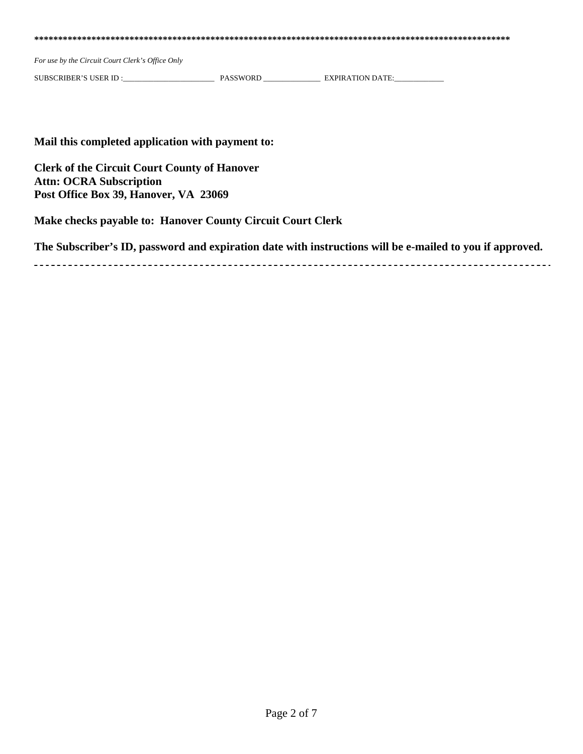**\*\*\*\*\*\*\*\*\*\*\*\*\*\*\*\*\*\*\*\*\*\*\*\*\*\*\*\*\*\*\*\*\*\*\*\*\*\*\*\*\*\*\*\*\*\*\*\*\*\*\*\*\*\*\*\*\*\*\*\*\*\*\*\*\*\*\*\*\*\*\*\*\*\*\*\*\*\*\*\*\*\*\*\*\*\*\*\*\*\*\*\*\*\*\*\*\*\*\*\*** 

*For use by the Circuit Court Clerk's Office Only* 

SUBSCRIBER'S USER ID :\_\_\_\_\_\_\_\_\_\_\_\_\_\_\_\_\_\_\_\_\_\_\_\_ PASSWORD \_\_\_\_\_\_\_\_\_\_\_\_\_\_\_ EXPIRATION DATE:\_\_\_\_\_\_\_\_\_\_\_\_\_

#### **Mail this completed application with payment to:**

**Clerk of the Circuit Court County of Hanover Attn: OCRA Subscription Post Office Box 39, Hanover, VA 23069** 

**Make checks payable to: Hanover County Circuit Court Clerk** 

**The Subscriber's ID, password and expiration date with instructions will be e-mailed to you if approved.**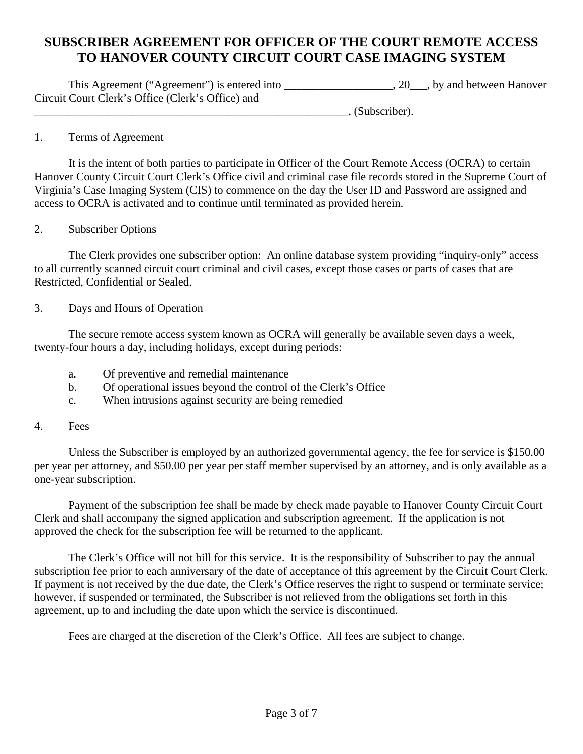# **SUBSCRIBER AGREEMENT FOR OFFICER OF THE COURT REMOTE ACCESS TO HANOVER COUNTY CIRCUIT COURT CASE IMAGING SYSTEM**

This Agreement ("Agreement") is entered into \_\_\_\_\_\_\_\_\_\_\_\_\_\_\_\_\_\_\_, 20\_\_\_, by and between Hanover Circuit Court Clerk's Office (Clerk's Office) and

\_\_\_\_\_\_\_\_\_\_\_\_\_\_\_\_\_\_\_\_\_\_\_\_\_\_\_\_\_\_\_\_\_\_\_\_\_\_\_\_\_\_\_\_\_\_\_\_\_\_\_\_\_\_\_, (Subscriber).

#### 1. Terms of Agreement

 It is the intent of both parties to participate in Officer of the Court Remote Access (OCRA) to certain Hanover County Circuit Court Clerk's Office civil and criminal case file records stored in the Supreme Court of Virginia's Case Imaging System (CIS) to commence on the day the User ID and Password are assigned and access to OCRA is activated and to continue until terminated as provided herein.

#### 2. Subscriber Options

 The Clerk provides one subscriber option: An online database system providing "inquiry-only" access to all currently scanned circuit court criminal and civil cases, except those cases or parts of cases that are Restricted, Confidential or Sealed.

#### 3. Days and Hours of Operation

 The secure remote access system known as OCRA will generally be available seven days a week, twenty-four hours a day, including holidays, except during periods:

- a. Of preventive and remedial maintenance
- b. Of operational issues beyond the control of the Clerk's Office
- c. When intrusions against security are being remedied

#### 4. Fees

Unless the Subscriber is employed by an authorized governmental agency, the fee for service is \$150.00 per year per attorney, and \$50.00 per year per staff member supervised by an attorney, and is only available as a one-year subscription.

Payment of the subscription fee shall be made by check made payable to Hanover County Circuit Court Clerk and shall accompany the signed application and subscription agreement. If the application is not approved the check for the subscription fee will be returned to the applicant.

The Clerk's Office will not bill for this service. It is the responsibility of Subscriber to pay the annual subscription fee prior to each anniversary of the date of acceptance of this agreement by the Circuit Court Clerk. If payment is not received by the due date, the Clerk's Office reserves the right to suspend or terminate service; however, if suspended or terminated, the Subscriber is not relieved from the obligations set forth in this agreement, up to and including the date upon which the service is discontinued.

Fees are charged at the discretion of the Clerk's Office. All fees are subject to change.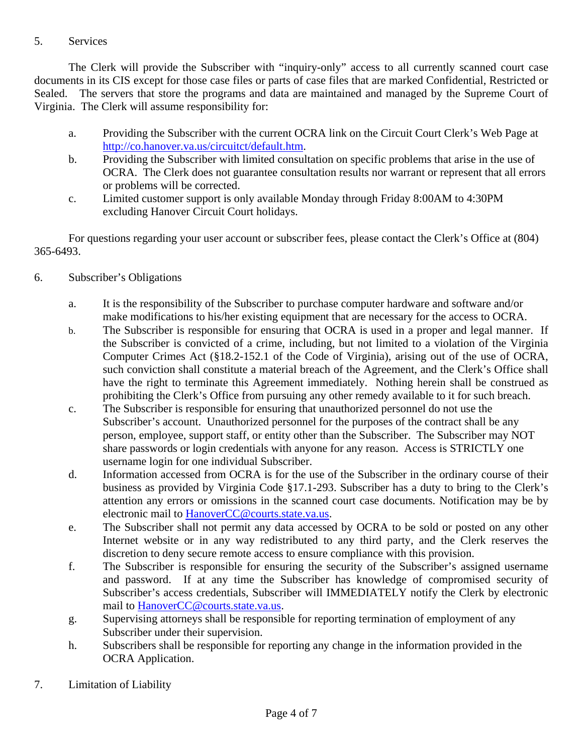# 5. Services

 The Clerk will provide the Subscriber with "inquiry-only" access to all currently scanned court case documents in its CIS except for those case files or parts of case files that are marked Confidential, Restricted or Sealed. The servers that store the programs and data are maintained and managed by the Supreme Court of Virginia. The Clerk will assume responsibility for:

- a. Providing the Subscriber with the current OCRA link on the Circuit Court Clerk's Web Page at http://co.hanover.va.us/circuitct/default.htm.
- b. Providing the Subscriber with limited consultation on specific problems that arise in the use of OCRA. The Clerk does not guarantee consultation results nor warrant or represent that all errors or problems will be corrected.
- c. Limited customer support is only available Monday through Friday 8:00AM to 4:30PM excluding Hanover Circuit Court holidays.

For questions regarding your user account or subscriber fees, please contact the Clerk's Office at (804) 365-6493.

- 6. Subscriber's Obligations
	- a. It is the responsibility of the Subscriber to purchase computer hardware and software and/or make modifications to his/her existing equipment that are necessary for the access to OCRA.
	- b. The Subscriber is responsible for ensuring that OCRA is used in a proper and legal manner. If the Subscriber is convicted of a crime, including, but not limited to a violation of the Virginia Computer Crimes Act (§18.2-152.1 of the Code of Virginia), arising out of the use of OCRA, such conviction shall constitute a material breach of the Agreement, and the Clerk's Office shall have the right to terminate this Agreement immediately. Nothing herein shall be construed as prohibiting the Clerk's Office from pursuing any other remedy available to it for such breach.
	- c. The Subscriber is responsible for ensuring that unauthorized personnel do not use the Subscriber's account. Unauthorized personnel for the purposes of the contract shall be any person, employee, support staff, or entity other than the Subscriber. The Subscriber may NOT share passwords or login credentials with anyone for any reason. Access is STRICTLY one username login for one individual Subscriber.
	- d. Information accessed from OCRA is for the use of the Subscriber in the ordinary course of their business as provided by Virginia Code §17.1-293. Subscriber has a duty to bring to the Clerk's attention any errors or omissions in the scanned court case documents. Notification may be by electronic mail to HanoverCC@courts.state.va.us.
	- e. The Subscriber shall not permit any data accessed by OCRA to be sold or posted on any other Internet website or in any way redistributed to any third party, and the Clerk reserves the discretion to deny secure remote access to ensure compliance with this provision.
	- f. The Subscriber is responsible for ensuring the security of the Subscriber's assigned username and password. If at any time the Subscriber has knowledge of compromised security of Subscriber's access credentials, Subscriber will IMMEDIATELY notify the Clerk by electronic mail to HanoverCC@courts.state.va.us.
	- g. Supervising attorneys shall be responsible for reporting termination of employment of any Subscriber under their supervision.
	- h. Subscribers shall be responsible for reporting any change in the information provided in the OCRA Application.
- 7. Limitation of Liability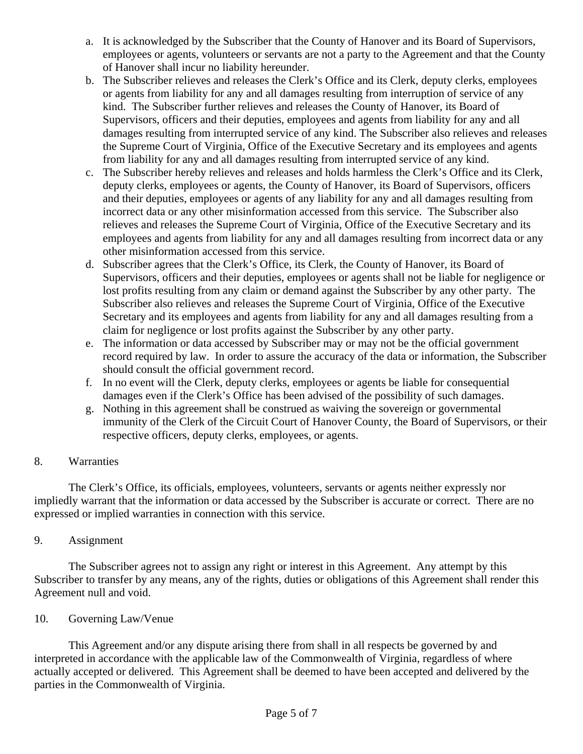- a. It is acknowledged by the Subscriber that the County of Hanover and its Board of Supervisors, employees or agents, volunteers or servants are not a party to the Agreement and that the County of Hanover shall incur no liability hereunder.
- b. The Subscriber relieves and releases the Clerk's Office and its Clerk, deputy clerks, employees or agents from liability for any and all damages resulting from interruption of service of any kind. The Subscriber further relieves and releases the County of Hanover, its Board of Supervisors, officers and their deputies, employees and agents from liability for any and all damages resulting from interrupted service of any kind. The Subscriber also relieves and releases the Supreme Court of Virginia, Office of the Executive Secretary and its employees and agents from liability for any and all damages resulting from interrupted service of any kind.
- c. The Subscriber hereby relieves and releases and holds harmless the Clerk's Office and its Clerk, deputy clerks, employees or agents, the County of Hanover, its Board of Supervisors, officers and their deputies, employees or agents of any liability for any and all damages resulting from incorrect data or any other misinformation accessed from this service. The Subscriber also relieves and releases the Supreme Court of Virginia, Office of the Executive Secretary and its employees and agents from liability for any and all damages resulting from incorrect data or any other misinformation accessed from this service.
- d. Subscriber agrees that the Clerk's Office, its Clerk, the County of Hanover, its Board of Supervisors, officers and their deputies, employees or agents shall not be liable for negligence or lost profits resulting from any claim or demand against the Subscriber by any other party. The Subscriber also relieves and releases the Supreme Court of Virginia, Office of the Executive Secretary and its employees and agents from liability for any and all damages resulting from a claim for negligence or lost profits against the Subscriber by any other party.
- e. The information or data accessed by Subscriber may or may not be the official government record required by law. In order to assure the accuracy of the data or information, the Subscriber should consult the official government record.
- f. In no event will the Clerk, deputy clerks, employees or agents be liable for consequential damages even if the Clerk's Office has been advised of the possibility of such damages.
- g. Nothing in this agreement shall be construed as waiving the sovereign or governmental immunity of the Clerk of the Circuit Court of Hanover County, the Board of Supervisors, or their respective officers, deputy clerks, employees, or agents.

## 8. Warranties

 The Clerk's Office, its officials, employees, volunteers, servants or agents neither expressly nor impliedly warrant that the information or data accessed by the Subscriber is accurate or correct. There are no expressed or implied warranties in connection with this service.

## 9. Assignment

 The Subscriber agrees not to assign any right or interest in this Agreement. Any attempt by this Subscriber to transfer by any means, any of the rights, duties or obligations of this Agreement shall render this Agreement null and void.

#### 10. Governing Law/Venue

 This Agreement and/or any dispute arising there from shall in all respects be governed by and interpreted in accordance with the applicable law of the Commonwealth of Virginia, regardless of where actually accepted or delivered. This Agreement shall be deemed to have been accepted and delivered by the parties in the Commonwealth of Virginia.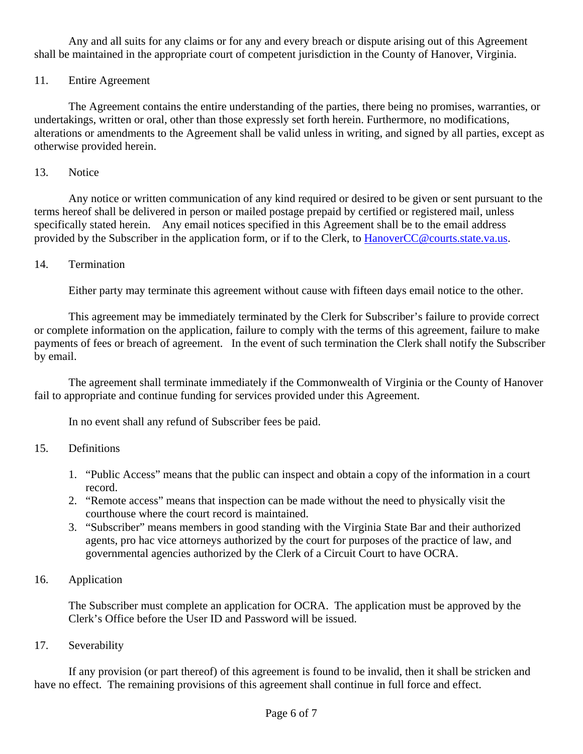Any and all suits for any claims or for any and every breach or dispute arising out of this Agreement shall be maintained in the appropriate court of competent jurisdiction in the County of Hanover, Virginia.

## 11. Entire Agreement

 The Agreement contains the entire understanding of the parties, there being no promises, warranties, or undertakings, written or oral, other than those expressly set forth herein. Furthermore, no modifications, alterations or amendments to the Agreement shall be valid unless in writing, and signed by all parties, except as otherwise provided herein.

## 13. Notice

 Any notice or written communication of any kind required or desired to be given or sent pursuant to the terms hereof shall be delivered in person or mailed postage prepaid by certified or registered mail, unless specifically stated herein. Any email notices specified in this Agreement shall be to the email address provided by the Subscriber in the application form, or if to the Clerk, to HanoverCC@courts.state.va.us.

## 14. Termination

Either party may terminate this agreement without cause with fifteen days email notice to the other.

 This agreement may be immediately terminated by the Clerk for Subscriber's failure to provide correct or complete information on the application, failure to comply with the terms of this agreement, failure to make payments of fees or breach of agreement. In the event of such termination the Clerk shall notify the Subscriber by email.

 The agreement shall terminate immediately if the Commonwealth of Virginia or the County of Hanover fail to appropriate and continue funding for services provided under this Agreement.

In no event shall any refund of Subscriber fees be paid.

## 15. Definitions

- 1. "Public Access" means that the public can inspect and obtain a copy of the information in a court record.
- 2. "Remote access" means that inspection can be made without the need to physically visit the courthouse where the court record is maintained.
- 3. "Subscriber" means members in good standing with the Virginia State Bar and their authorized agents, pro hac vice attorneys authorized by the court for purposes of the practice of law, and governmental agencies authorized by the Clerk of a Circuit Court to have OCRA.

## 16. Application

The Subscriber must complete an application for OCRA. The application must be approved by the Clerk's Office before the User ID and Password will be issued.

17. Severability

 If any provision (or part thereof) of this agreement is found to be invalid, then it shall be stricken and have no effect. The remaining provisions of this agreement shall continue in full force and effect.